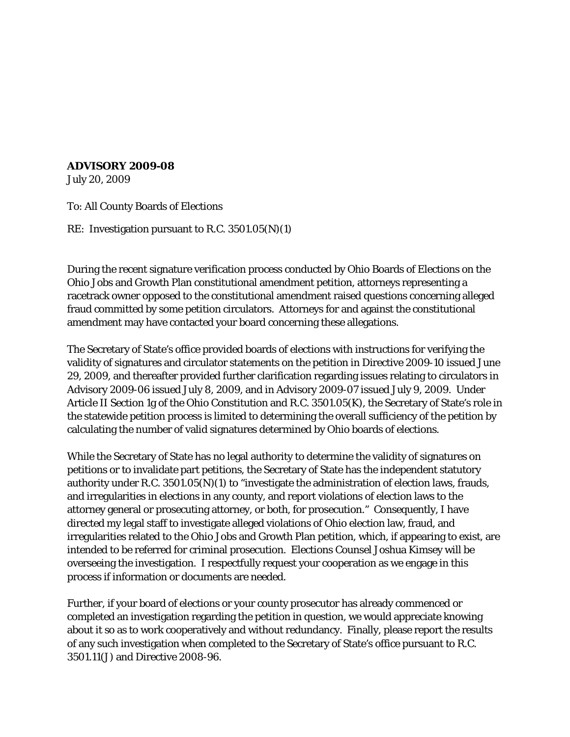## **ADVISORY 2009-08**

July 20, 2009

To: All County Boards of Elections

RE: Investigation pursuant to R.C. 3501.05(N)(1)

During the recent signature verification process conducted by Ohio Boards of Elections on the Ohio Jobs and Growth Plan constitutional amendment petition, attorneys representing a racetrack owner opposed to the constitutional amendment raised questions concerning alleged fraud committed by some petition circulators. Attorneys for and against the constitutional amendment may have contacted your board concerning these allegations.

The Secretary of State's office provided boards of elections with instructions for verifying the validity of signatures and circulator statements on the petition in Directive 2009-10 issued June 29, 2009, and thereafter provided further clarification regarding issues relating to circulators in Advisory 2009-06 issued July 8, 2009, and in Advisory 2009-07 issued July 9, 2009. Under Article II Section 1g of the Ohio Constitution and R.C. 3501.05(K), the Secretary of State's role in the statewide petition process is limited to determining the overall sufficiency of the petition by calculating the number of valid signatures determined by Ohio boards of elections.

While the Secretary of State has no legal authority to determine the validity of signatures on petitions or to invalidate part petitions, the Secretary of State has the independent statutory authority under R.C. 3501.05(N)(1) to "investigate the administration of election laws, frauds, and irregularities in elections in any county, and report violations of election laws to the attorney general or prosecuting attorney, or both, for prosecution." Consequently, I have directed my legal staff to investigate alleged violations of Ohio election law, fraud, and irregularities related to the Ohio Jobs and Growth Plan petition, which, if appearing to exist, are intended to be referred for criminal prosecution. Elections Counsel Joshua Kimsey will be overseeing the investigation. I respectfully request your cooperation as we engage in this process if information or documents are needed.

Further, if your board of elections or your county prosecutor has already commenced or completed an investigation regarding the petition in question, we would appreciate knowing about it so as to work cooperatively and without redundancy. Finally, please report the results of any such investigation when completed to the Secretary of State's office pursuant to R.C. 3501.11(J) and Directive 2008-96.